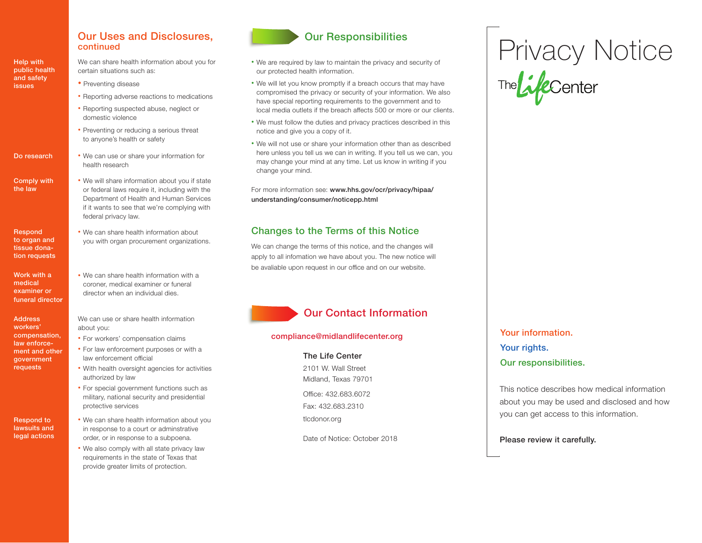## Our Uses and Disclosures, continued

Help with public health and safety issues

Do research

Comply with the law

**Respond** to organ and tissue donation requests

Work with a medical examiner or funeral directo**r**

Address workers' compensation, law enforcement and other government requests

Respond to lawsuits and legal actions We can share health information about you for certain situations such as:

- Preventing disease
- Reporting adverse reactions to medications
- Reporting suspected abuse, neglect or domestic violence
- Preventing or reducing a serious threat to anyone's health or safety
- We can use or share your information for health research
- We will share information about you if state or federal laws require it, including with the Department of Health and Human Services if it wants to see that we're complying with federal privacy law.
- We can share health information about you with organ procurement organizations.
- We can share health information with a coroner, medical examiner or funeral director when an individual dies.

We can use or share health information about you:

- For workers' compensation claims
- For law enforcement purposes or with a law enforcement official
- With health oversight agencies for activities authorized by law
- For special government functions such as military, national security and presidential protective services
- We can share health information about you in response to a court or adminstrative order, or in response to a subpoena.
- We also comply with all state privacy law requirements in the state of Texas that provide greater limits of protection.



- We are required by law to maintain the privacy and security of our protected health information.
- We will let you know promptly if a breach occurs that may have compromised the privacy or security of your information. We also have special reporting requirements to the government and to local media outlets if the breach affects 500 or more or our clients.
- We must follow the duties and privacy practices described in this notice and give you a copy of it.
- We will not use or share your information other than as described here unless you tell us we can in writing. If you tell us we can, you may change your mind at any time. Let us know in writing if you change your mind.

For more information see: www.hhs.gov/ocr/privacy/hipaa/ understanding/consumer/noticepp.html

## Changes to the Terms of this Notice

We can change the terms of this notice, and the changes will apply to all infomation we have about you. The new notice will be avaliable upon request in our office and on our website.

# Our Contact Information

## compliance@midlandlifecenter.org

## The Life Center

2101 W. Wall Street Midland, Texas 79701

Office: 432.683.6072 Fax: 432.683.2310

tlcdonor.org

Date of Notice: October 2018

# Privacy Notice<br>The *Life*center

Your information. Your rights. Our responsibilities.

This notice describes how medical information about you may be used and disclosed and how you can get access to this information.

Please review it carefully.